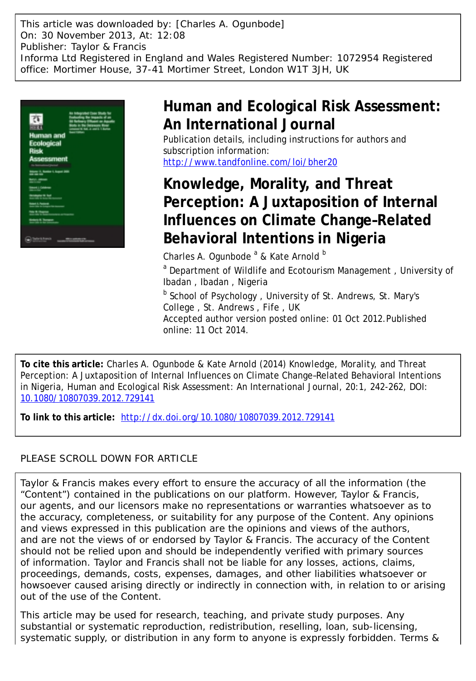This article was downloaded by: [Charles A. Ogunbode] On: 30 November 2013, At: 12:08 Publisher: Taylor & Francis Informa Ltd Registered in England and Wales Registered Number: 1072954 Registered office: Mortimer House, 37-41 Mortimer Street, London W1T 3JH, UK



# **Human and Ecological Risk Assessment: An International Journal**

Publication details, including instructions for authors and subscription information: <http://www.tandfonline.com/loi/bher20>

# **Knowledge, Morality, and Threat Perception: A Juxtaposition of Internal Influences on Climate Change–Related Behavioral Intentions in Nigeria**

Charles A. Ogunbode <sup>a</sup> & Kate Arnold <sup>b</sup>

<sup>a</sup> Department of Wildlife and Ecotourism Management, University of Ibadan , Ibadan , Nigeria

<sup>b</sup> School of Psychology, University of St. Andrews, St. Mary's College , St. Andrews , Fife , UK

Accepted author version posted online: 01 Oct 2012.Published online: 11 Oct 2014.

**To cite this article:** Charles A. Ogunbode & Kate Arnold (2014) Knowledge, Morality, and Threat Perception: A Juxtaposition of Internal Influences on Climate Change–Related Behavioral Intentions in Nigeria, Human and Ecological Risk Assessment: An International Journal, 20:1, 242-262, DOI: [10.1080/10807039.2012.729141](http://www.tandfonline.com/action/showCitFormats?doi=10.1080/10807039.2012.729141)

**To link to this article:** <http://dx.doi.org/10.1080/10807039.2012.729141>

# PLEASE SCROLL DOWN FOR ARTICLE

Taylor & Francis makes every effort to ensure the accuracy of all the information (the "Content") contained in the publications on our platform. However, Taylor & Francis, our agents, and our licensors make no representations or warranties whatsoever as to the accuracy, completeness, or suitability for any purpose of the Content. Any opinions and views expressed in this publication are the opinions and views of the authors, and are not the views of or endorsed by Taylor & Francis. The accuracy of the Content should not be relied upon and should be independently verified with primary sources of information. Taylor and Francis shall not be liable for any losses, actions, claims, proceedings, demands, costs, expenses, damages, and other liabilities whatsoever or howsoever caused arising directly or indirectly in connection with, in relation to or arising out of the use of the Content.

This article may be used for research, teaching, and private study purposes. Any substantial or systematic reproduction, redistribution, reselling, loan, sub-licensing, systematic supply, or distribution in any form to anyone is expressly forbidden. Terms &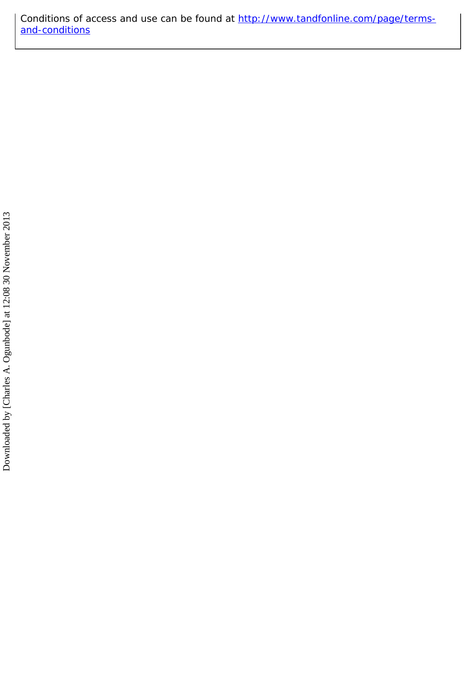Conditions of access and use can be found at [http://www.tandfonline.com/page/terms](http://www.tandfonline.com/page/terms-and-conditions)[and-conditions](http://www.tandfonline.com/page/terms-and-conditions)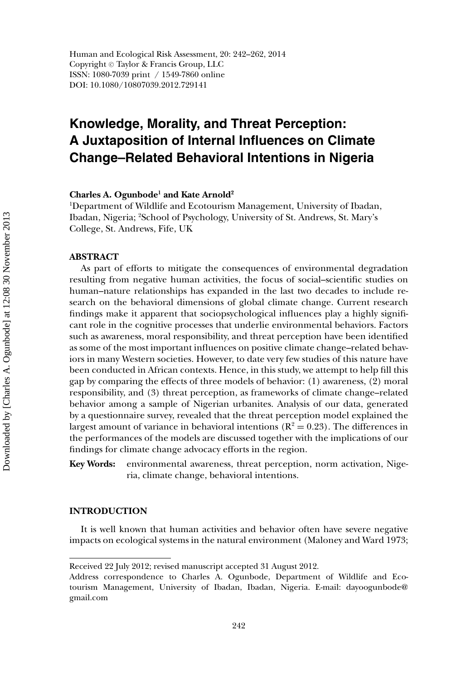Human and Ecological Risk Assessment, 20: 242–262, 2014 Copyright © Taylor & Francis Group, LLC ISSN: 1080-7039 print / 1549-7860 online DOI: 10.1080/10807039.2012.729141

# **Knowledge, Morality, and Threat Perception: A Juxtaposition of Internal Influences on Climate Change–Related Behavioral Intentions in Nigeria**

# **Charles A. Ogunbode1 and Kate Arnold2**

<sup>1</sup>Department of Wildlife and Ecotourism Management, University of Ibadan, Ibadan, Nigeria; <sup>2</sup> School of Psychology, University of St. Andrews, St. Mary's College, St. Andrews, Fife, UK

# **ABSTRACT**

As part of efforts to mitigate the consequences of environmental degradation resulting from negative human activities, the focus of social–scientific studies on human–nature relationships has expanded in the last two decades to include research on the behavioral dimensions of global climate change. Current research findings make it apparent that sociopsychological influences play a highly significant role in the cognitive processes that underlie environmental behaviors. Factors such as awareness, moral responsibility, and threat perception have been identified as some of the most important influences on positive climate change–related behaviors in many Western societies. However, to date very few studies of this nature have been conducted in African contexts. Hence, in this study, we attempt to help fill this gap by comparing the effects of three models of behavior: (1) awareness, (2) moral responsibility, and (3) threat perception, as frameworks of climate change–related behavior among a sample of Nigerian urbanites. Analysis of our data, generated by a questionnaire survey, revealed that the threat perception model explained the largest amount of variance in behavioral intentions ( $\mathbb{R}^2 = 0.23$ ). The differences in the performances of the models are discussed together with the implications of our findings for climate change advocacy efforts in the region.

**Key Words:** environmental awareness, threat perception, norm activation, Nigeria, climate change, behavioral intentions.

# **INTRODUCTION**

It is well known that human activities and behavior often have severe negative impacts on ecological systems in the natural environment (Maloney and Ward 1973;

Received 22 July 2012; revised manuscript accepted 31 August 2012.

Address correspondence to Charles A. Ogunbode, Department of Wildlife and Ecotourism Management, University of Ibadan, Ibadan, Nigeria. E-mail: dayoogunbode@ gmail.com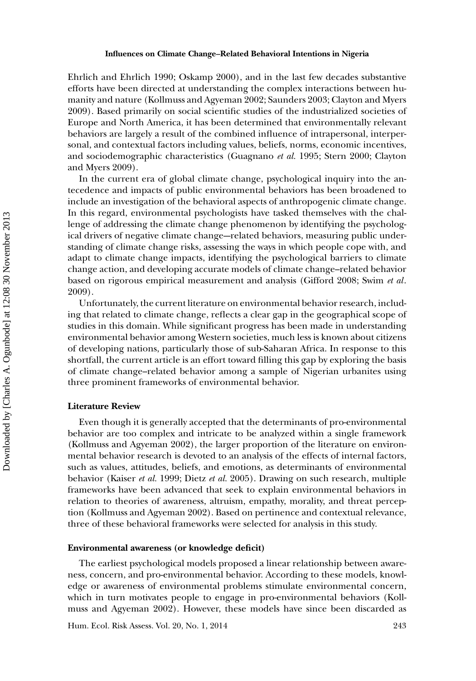Ehrlich and Ehrlich 1990; Oskamp 2000), and in the last few decades substantive efforts have been directed at understanding the complex interactions between humanity and nature (Kollmuss and Agyeman 2002; Saunders 2003; Clayton and Myers 2009). Based primarily on social scientific studies of the industrialized societies of Europe and North America, it has been determined that environmentally relevant behaviors are largely a result of the combined influence of intrapersonal, interpersonal, and contextual factors including values, beliefs, norms, economic incentives, and sociodemographic characteristics (Guagnano *et al.* 1995; Stern 2000; Clayton and Myers 2009).

In the current era of global climate change, psychological inquiry into the antecedence and impacts of public environmental behaviors has been broadened to include an investigation of the behavioral aspects of anthropogenic climate change. In this regard, environmental psychologists have tasked themselves with the challenge of addressing the climate change phenomenon by identifying the psychological drivers of negative climate change-related behaviors, measuring public understanding of climate change risks, assessing the ways in which people cope with, and adapt to climate change impacts, identifying the psychological barriers to climate change action, and developing accurate models of climate change–related behavior based on rigorous empirical measurement and analysis (Gifford 2008; Swim *et al*. 2009).

Unfortunately, the current literature on environmental behavior research, including that related to climate change, reflects a clear gap in the geographical scope of studies in this domain. While significant progress has been made in understanding environmental behavior among Western societies, much less is known about citizens of developing nations, particularly those of sub-Saharan Africa. In response to this shortfall, the current article is an effort toward filling this gap by exploring the basis of climate change–related behavior among a sample of Nigerian urbanites using three prominent frameworks of environmental behavior.

#### **Literature Review**

Even though it is generally accepted that the determinants of pro-environmental behavior are too complex and intricate to be analyzed within a single framework (Kollmuss and Agyeman 2002), the larger proportion of the literature on environmental behavior research is devoted to an analysis of the effects of internal factors, such as values, attitudes, beliefs, and emotions, as determinants of environmental behavior (Kaiser *et al.* 1999; Dietz *et al.* 2005). Drawing on such research, multiple frameworks have been advanced that seek to explain environmental behaviors in relation to theories of awareness, altruism, empathy, morality, and threat perception (Kollmuss and Agyeman 2002). Based on pertinence and contextual relevance, three of these behavioral frameworks were selected for analysis in this study.

#### **Environmental awareness (or knowledge deficit)**

The earliest psychological models proposed a linear relationship between awareness, concern, and pro-environmental behavior. According to these models, knowledge or awareness of environmental problems stimulate environmental concern, which in turn motivates people to engage in pro-environmental behaviors (Kollmuss and Agyeman 2002). However, these models have since been discarded as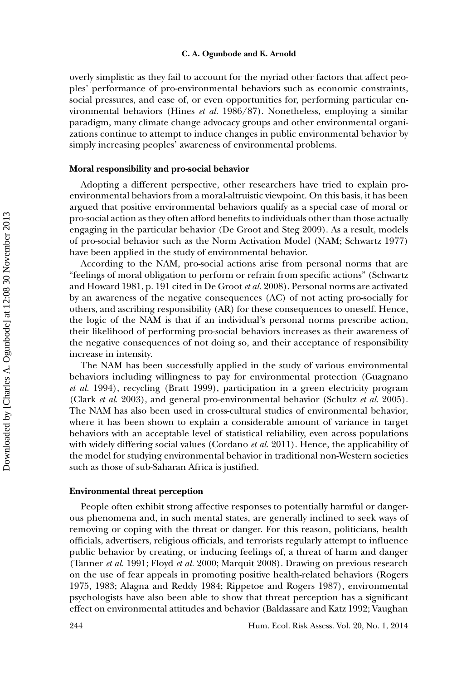overly simplistic as they fail to account for the myriad other factors that affect peoples' performance of pro-environmental behaviors such as economic constraints, social pressures, and ease of, or even opportunities for, performing particular environmental behaviors (Hines *et al.* 1986/87). Nonetheless, employing a similar paradigm, many climate change advocacy groups and other environmental organizations continue to attempt to induce changes in public environmental behavior by simply increasing peoples' awareness of environmental problems.

# **Moral responsibility and pro-social behavior**

Adopting a different perspective, other researchers have tried to explain proenvironmental behaviors from a moral-altruistic viewpoint. On this basis, it has been argued that positive environmental behaviors qualify as a special case of moral or pro-social action as they often afford benefits to individuals other than those actually engaging in the particular behavior (De Groot and Steg 2009). As a result, models of pro-social behavior such as the Norm Activation Model (NAM; Schwartz 1977) have been applied in the study of environmental behavior.

According to the NAM, pro-social actions arise from personal norms that are "feelings of moral obligation to perform or refrain from specific actions" (Schwartz and Howard 1981, p. 191 cited in De Groot *et al.* 2008). Personal norms are activated by an awareness of the negative consequences (AC) of not acting pro-socially for others, and ascribing responsibility (AR) for these consequences to oneself. Hence, the logic of the NAM is that if an individual's personal norms prescribe action, their likelihood of performing pro-social behaviors increases as their awareness of the negative consequences of not doing so, and their acceptance of responsibility increase in intensity.

The NAM has been successfully applied in the study of various environmental behaviors including willingness to pay for environmental protection (Guagnano *et al.* 1994), recycling (Bratt 1999), participation in a green electricity program (Clark *et al.* 2003), and general pro-environmental behavior (Schultz *et al.* 2005). The NAM has also been used in cross-cultural studies of environmental behavior, where it has been shown to explain a considerable amount of variance in target behaviors with an acceptable level of statistical reliability, even across populations with widely differing social values (Cordano *et al.* 2011). Hence, the applicability of the model for studying environmental behavior in traditional non-Western societies such as those of sub-Saharan Africa is justified.

## **Environmental threat perception**

People often exhibit strong affective responses to potentially harmful or dangerous phenomena and, in such mental states, are generally inclined to seek ways of removing or coping with the threat or danger. For this reason, politicians, health officials, advertisers, religious officials, and terrorists regularly attempt to influence public behavior by creating, or inducing feelings of, a threat of harm and danger (Tanner *et al.* 1991; Floyd *et al.* 2000; Marquit 2008). Drawing on previous research on the use of fear appeals in promoting positive health-related behaviors (Rogers 1975, 1983; Alagna and Reddy 1984; Rippetoe and Rogers 1987), environmental psychologists have also been able to show that threat perception has a significant effect on environmental attitudes and behavior (Baldassare and Katz 1992; Vaughan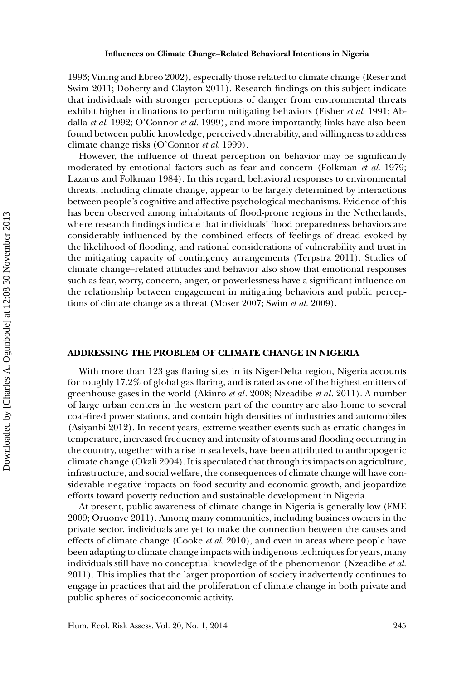1993; Vining and Ebreo 2002), especially those related to climate change (Reser and Swim 2011; Doherty and Clayton 2011). Research findings on this subject indicate that individuals with stronger perceptions of danger from environmental threats exhibit higher inclinations to perform mitigating behaviors (Fisher *et al.* 1991; Abdalla *et al.* 1992; O'Connor *et al.* 1999), and more importantly, links have also been found between public knowledge, perceived vulnerability, and willingness to address climate change risks (O'Connor *et al.* 1999).

However, the influence of threat perception on behavior may be significantly moderated by emotional factors such as fear and concern (Folkman *et al.* 1979; Lazarus and Folkman 1984). In this regard, behavioral responses to environmental threats, including climate change, appear to be largely determined by interactions between people's cognitive and affective psychological mechanisms. Evidence of this has been observed among inhabitants of flood-prone regions in the Netherlands, where research findings indicate that individuals' flood preparedness behaviors are considerably influenced by the combined effects of feelings of dread evoked by the likelihood of flooding, and rational considerations of vulnerability and trust in the mitigating capacity of contingency arrangements (Terpstra 2011). Studies of climate change–related attitudes and behavior also show that emotional responses such as fear, worry, concern, anger, or powerlessness have a significant influence on the relationship between engagement in mitigating behaviors and public perceptions of climate change as a threat (Moser 2007; Swim *et al.* 2009).

# **ADDRESSING THE PROBLEM OF CLIMATE CHANGE IN NIGERIA**

With more than 123 gas flaring sites in its Niger-Delta region, Nigeria accounts for roughly 17.2% of global gas flaring, and is rated as one of the highest emitters of greenhouse gases in the world (Akinro *et al*. 2008; Nzeadibe *et al*. 2011). A number of large urban centers in the western part of the country are also home to several coal-fired power stations, and contain high densities of industries and automobiles (Asiyanbi 2012). In recent years, extreme weather events such as erratic changes in temperature, increased frequency and intensity of storms and flooding occurring in the country, together with a rise in sea levels, have been attributed to anthropogenic climate change (Okali 2004). It is speculated that through its impacts on agriculture, infrastructure, and social welfare, the consequences of climate change will have considerable negative impacts on food security and economic growth, and jeopardize efforts toward poverty reduction and sustainable development in Nigeria.

At present, public awareness of climate change in Nigeria is generally low (FME 2009; Oruonye 2011). Among many communities, including business owners in the private sector, individuals are yet to make the connection between the causes and effects of climate change (Cooke *et al.* 2010), and even in areas where people have been adapting to climate change impacts with indigenous techniques for years, many individuals still have no conceptual knowledge of the phenomenon (Nzeadibe *et al.* 2011). This implies that the larger proportion of society inadvertently continues to engage in practices that aid the proliferation of climate change in both private and public spheres of socioeconomic activity.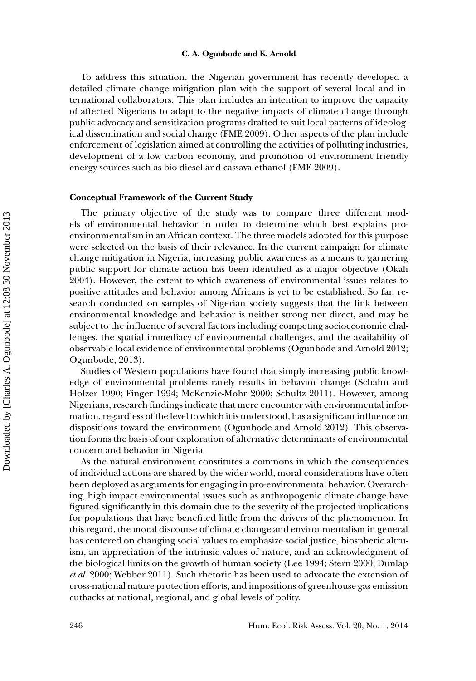To address this situation, the Nigerian government has recently developed a detailed climate change mitigation plan with the support of several local and international collaborators. This plan includes an intention to improve the capacity of affected Nigerians to adapt to the negative impacts of climate change through public advocacy and sensitization programs drafted to suit local patterns of ideological dissemination and social change (FME 2009). Other aspects of the plan include enforcement of legislation aimed at controlling the activities of polluting industries, development of a low carbon economy, and promotion of environment friendly energy sources such as bio-diesel and cassava ethanol (FME 2009).

#### **Conceptual Framework of the Current Study**

The primary objective of the study was to compare three different models of environmental behavior in order to determine which best explains proenvironmentalism in an African context. The three models adopted for this purpose were selected on the basis of their relevance. In the current campaign for climate change mitigation in Nigeria, increasing public awareness as a means to garnering public support for climate action has been identified as a major objective (Okali 2004). However, the extent to which awareness of environmental issues relates to positive attitudes and behavior among Africans is yet to be established. So far, research conducted on samples of Nigerian society suggests that the link between environmental knowledge and behavior is neither strong nor direct, and may be subject to the influence of several factors including competing socioeconomic challenges, the spatial immediacy of environmental challenges, and the availability of observable local evidence of environmental problems (Ogunbode and Arnold 2012; Ogunbode, 2013).

Studies of Western populations have found that simply increasing public knowledge of environmental problems rarely results in behavior change (Schahn and Holzer 1990; Finger 1994; McKenzie-Mohr 2000; Schultz 2011). However, among Nigerians, research findings indicate that mere encounter with environmental information, regardless of the level to which it is understood, has a significant influence on dispositions toward the environment (Ogunbode and Arnold 2012). This observation forms the basis of our exploration of alternative determinants of environmental concern and behavior in Nigeria.

As the natural environment constitutes a commons in which the consequences of individual actions are shared by the wider world, moral considerations have often been deployed as arguments for engaging in pro-environmental behavior. Overarching, high impact environmental issues such as anthropogenic climate change have figured significantly in this domain due to the severity of the projected implications for populations that have benefited little from the drivers of the phenomenon. In this regard, the moral discourse of climate change and environmentalism in general has centered on changing social values to emphasize social justice, biospheric altruism, an appreciation of the intrinsic values of nature, and an acknowledgment of the biological limits on the growth of human society (Lee 1994; Stern 2000; Dunlap *et al.* 2000; Webber 2011). Such rhetoric has been used to advocate the extension of cross-national nature protection efforts, and impositions of greenhouse gas emission cutbacks at national, regional, and global levels of polity.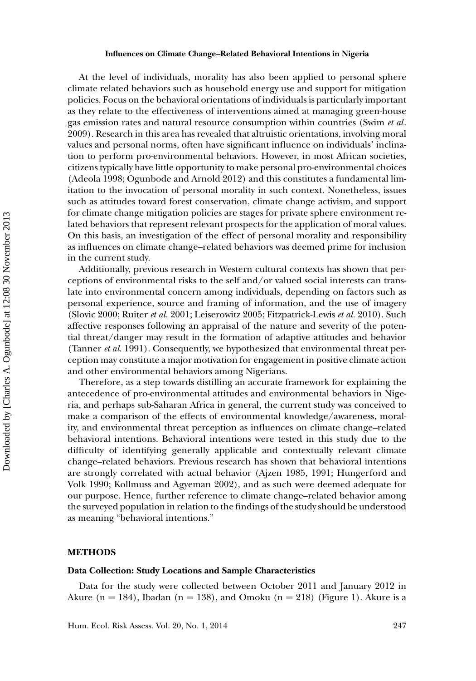At the level of individuals, morality has also been applied to personal sphere climate related behaviors such as household energy use and support for mitigation policies. Focus on the behavioral orientations of individuals is particularly important as they relate to the effectiveness of interventions aimed at managing green-house gas emission rates and natural resource consumption within countries (Swim *et al*. 2009). Research in this area has revealed that altruistic orientations, involving moral values and personal norms, often have significant influence on individuals' inclination to perform pro-environmental behaviors. However, in most African societies, citizens typically have little opportunity to make personal pro-environmental choices (Adeola 1998; Ogunbode and Arnold 2012) and this constitutes a fundamental limitation to the invocation of personal morality in such context. Nonetheless, issues such as attitudes toward forest conservation, climate change activism, and support for climate change mitigation policies are stages for private sphere environment related behaviors that represent relevant prospects for the application of moral values. On this basis, an investigation of the effect of personal morality and responsibility as influences on climate change–related behaviors was deemed prime for inclusion in the current study.

Additionally, previous research in Western cultural contexts has shown that perceptions of environmental risks to the self and/or valued social interests can translate into environmental concern among individuals, depending on factors such as personal experience, source and framing of information, and the use of imagery (Slovic 2000; Ruiter *et al.* 2001; Leiserowitz 2005; Fitzpatrick-Lewis *et al.* 2010). Such affective responses following an appraisal of the nature and severity of the potential threat/danger may result in the formation of adaptive attitudes and behavior (Tanner *et al.* 1991). Consequently, we hypothesized that environmental threat perception may constitute a major motivation for engagement in positive climate action and other environmental behaviors among Nigerians.

Therefore, as a step towards distilling an accurate framework for explaining the antecedence of pro-environmental attitudes and environmental behaviors in Nigeria, and perhaps sub-Saharan Africa in general, the current study was conceived to make a comparison of the effects of environmental knowledge/awareness, morality, and environmental threat perception as influences on climate change–related behavioral intentions. Behavioral intentions were tested in this study due to the difficulty of identifying generally applicable and contextually relevant climate change–related behaviors. Previous research has shown that behavioral intentions are strongly correlated with actual behavior (Ajzen 1985, 1991; Hungerford and Volk 1990; Kollmuss and Agyeman 2002), and as such were deemed adequate for our purpose. Hence, further reference to climate change–related behavior among the surveyed population in relation to the findings of the study should be understood as meaning "behavioral intentions."

#### **METHODS**

# **Data Collection: Study Locations and Sample Characteristics**

Data for the study were collected between October 2011 and January 2012 in Akure (n = 184), Ibadan (n = 138), and Omoku (n = 218) (Figure 1). Akure is a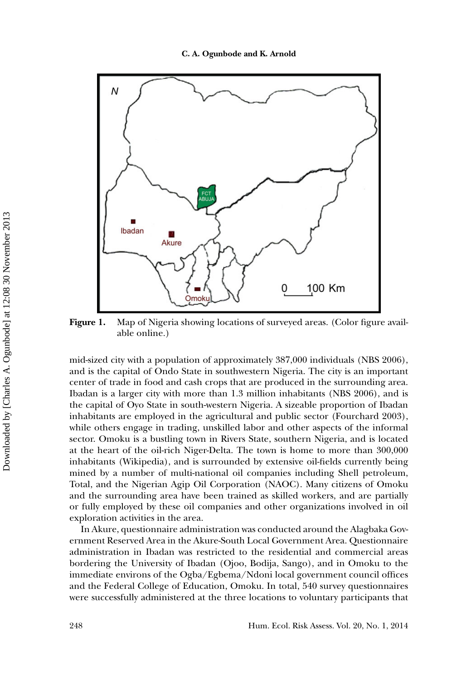

**Figure 1.** Map of Nigeria showing locations of surveyed areas. (Color figure available online.)

mid-sized city with a population of approximately 387,000 individuals (NBS 2006), and is the capital of Ondo State in southwestern Nigeria. The city is an important center of trade in food and cash crops that are produced in the surrounding area. Ibadan is a larger city with more than 1.3 million inhabitants (NBS 2006), and is the capital of Oyo State in south-western Nigeria. A sizeable proportion of Ibadan inhabitants are employed in the agricultural and public sector (Fourchard 2003), while others engage in trading, unskilled labor and other aspects of the informal sector. Omoku is a bustling town in Rivers State, southern Nigeria, and is located at the heart of the oil-rich Niger-Delta. The town is home to more than 300,000 inhabitants (Wikipedia), and is surrounded by extensive oil-fields currently being mined by a number of multi-national oil companies including Shell petroleum, Total, and the Nigerian Agip Oil Corporation (NAOC). Many citizens of Omoku and the surrounding area have been trained as skilled workers, and are partially or fully employed by these oil companies and other organizations involved in oil exploration activities in the area.

In Akure, questionnaire administration was conducted around the Alagbaka Government Reserved Area in the Akure-South Local Government Area. Questionnaire administration in Ibadan was restricted to the residential and commercial areas bordering the University of Ibadan (Ojoo, Bodija, Sango), and in Omoku to the immediate environs of the Ogba/Egbema/Ndoni local government council offices and the Federal College of Education, Omoku. In total, 540 survey questionnaires were successfully administered at the three locations to voluntary participants that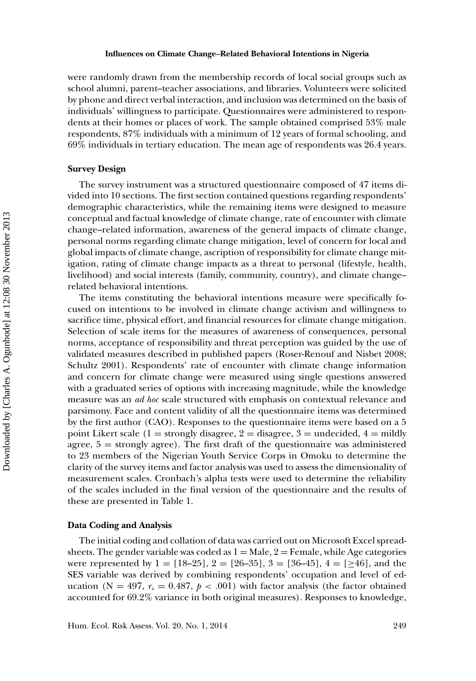were randomly drawn from the membership records of local social groups such as school alumni, parent–teacher associations, and libraries. Volunteers were solicited by phone and direct verbal interaction, and inclusion was determined on the basis of individuals' willingness to participate. Questionnaires were administered to respondents at their homes or places of work. The sample obtained comprised 53% male respondents, 87% individuals with a minimum of 12 years of formal schooling, and 69% individuals in tertiary education. The mean age of respondents was 26.4 years.

# **Survey Design**

The survey instrument was a structured questionnaire composed of 47 items divided into 10 sections. The first section contained questions regarding respondents' demographic characteristics, while the remaining items were designed to measure conceptual and factual knowledge of climate change, rate of encounter with climate change–related information, awareness of the general impacts of climate change, personal norms regarding climate change mitigation, level of concern for local and global impacts of climate change, ascription of responsibility for climate change mitigation, rating of climate change impacts as a threat to personal (lifestyle, health, livelihood) and social interests (family, community, country), and climate change– related behavioral intentions.

The items constituting the behavioral intentions measure were specifically focused on intentions to be involved in climate change activism and willingness to sacrifice time, physical effort, and financial resources for climate change mitigation. Selection of scale items for the measures of awareness of consequences, personal norms, acceptance of responsibility and threat perception was guided by the use of validated measures described in published papers (Roser-Renouf and Nisbet 2008; Schultz 2001). Respondents' rate of encounter with climate change information and concern for climate change were measured using single questions answered with a graduated series of options with increasing magnitude, while the knowledge measure was an *ad hoc* scale structured with emphasis on contextual relevance and parsimony. Face and content validity of all the questionnaire items was determined by the first author (CAO). Responses to the questionnaire items were based on a 5 point Likert scale  $(1 =$  strongly disagree,  $2 =$  disagree,  $3 =$  undecided,  $4 =$  mildly agree, 5 = strongly agree). The first draft of the questionnaire was administered to 23 members of the Nigerian Youth Service Corps in Omoku to determine the clarity of the survey items and factor analysis was used to assess the dimensionality of measurement scales. Cronbach's alpha tests were used to determine the reliability of the scales included in the final version of the questionnaire and the results of these are presented in Table 1.

## **Data Coding and Analysis**

The initial coding and collation of data was carried out on Microsoft Excel spreadsheets. The gender variable was coded as  $1 =$  Male,  $2 =$  Female, while Age categories were represented by  $1 = \lfloor 18-25 \rfloor$ ,  $2 = \lfloor 26-35 \rfloor$ ,  $3 = \lfloor 36-45 \rfloor$ ,  $4 = \lfloor 246 \rfloor$ , and the SES variable was derived by combining respondents' occupation and level of education (N = 497,  $r_s = 0.487$ ,  $p < .001$ ) with factor analysis (the factor obtained accounted for 69.2% variance in both original measures). Responses to knowledge,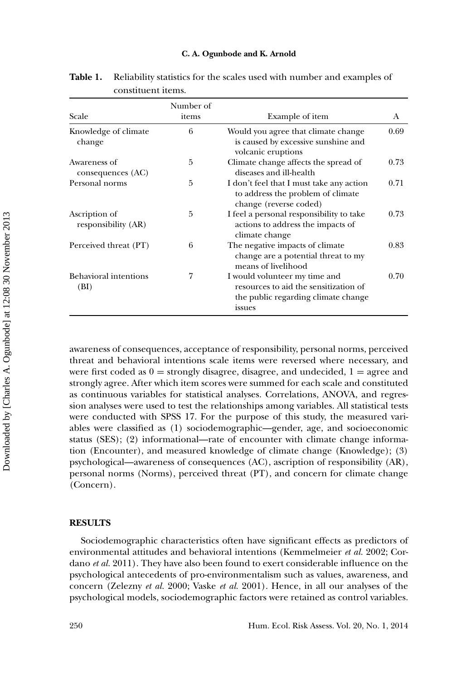| Scale                                | Number of<br>items | Example of item                                                                                                         | A    |
|--------------------------------------|--------------------|-------------------------------------------------------------------------------------------------------------------------|------|
| Knowledge of climate<br>change       | 6                  | Would you agree that climate change<br>is caused by excessive sunshine and<br>volcanic eruptions                        | 0.69 |
| Awareness of<br>consequences (AC)    | 5                  | Climate change affects the spread of<br>diseases and ill-health                                                         | 0.73 |
| Personal norms                       | 5                  | I don't feel that I must take any action<br>to address the problem of climate<br>change (reverse coded)                 | 0.71 |
| Ascription of<br>responsibility (AR) | 5                  | I feel a personal responsibility to take<br>actions to address the impacts of<br>climate change                         | 0.73 |
| Perceived threat (PT)                | 6                  | The negative impacts of climate<br>change are a potential threat to my<br>means of livelihood                           | 0.83 |
| <b>Behavioral intentions</b><br>(BI) | 7                  | I would volunteer my time and<br>resources to aid the sensitization of<br>the public regarding climate change<br>issues | 0.70 |

**Table 1.** Reliability statistics for the scales used with number and examples of constituent items.

awareness of consequences, acceptance of responsibility, personal norms, perceived threat and behavioral intentions scale items were reversed where necessary, and were first coded as  $0 =$  strongly disagree, disagree, and undecided,  $1 =$  agree and strongly agree. After which item scores were summed for each scale and constituted as continuous variables for statistical analyses. Correlations, ANOVA, and regression analyses were used to test the relationships among variables. All statistical tests were conducted with SPSS 17. For the purpose of this study, the measured variables were classified as (1) sociodemographic—gender, age, and socioeconomic status (SES); (2) informational—rate of encounter with climate change information (Encounter), and measured knowledge of climate change (Knowledge); (3) psychological—awareness of consequences (AC), ascription of responsibility (AR), personal norms (Norms), perceived threat (PT), and concern for climate change (Concern).

# **RESULTS**

Sociodemographic characteristics often have significant effects as predictors of environmental attitudes and behavioral intentions (Kemmelmeier *et al.* 2002; Cordano *et al.* 2011). They have also been found to exert considerable influence on the psychological antecedents of pro-environmentalism such as values, awareness, and concern (Zelezny *et al.* 2000; Vaske *et al.* 2001). Hence, in all our analyses of the psychological models, sociodemographic factors were retained as control variables.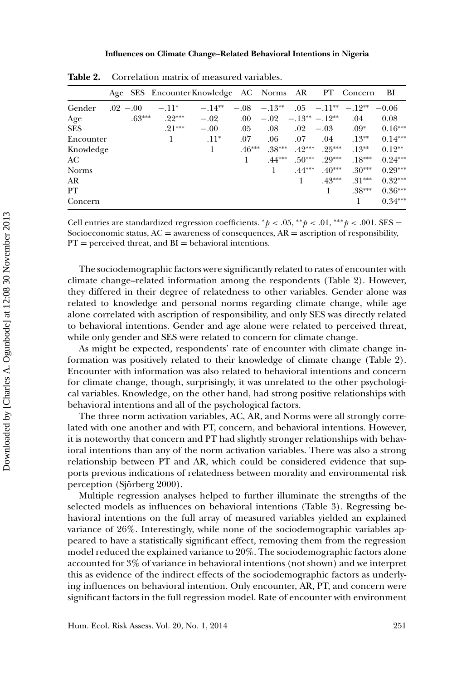|            |             |          | Age SES EncounterKnowledge AC Norms AR |          |           |          |                      | PT Concern                  | BI        |
|------------|-------------|----------|----------------------------------------|----------|-----------|----------|----------------------|-----------------------------|-----------|
| Gender     | $.02 - .00$ | $-.11*$  | $-.14**$                               | $-.08$   | $-.13***$ |          |                      | $.05 - .11^{**} - .12^{**}$ | $-0.06$   |
| Age        | $.63***$    | $.22***$ | $-.02$                                 | .00.     | $-.02$    |          | $-.13^{**}-.12^{**}$ | .04                         | 0.08      |
| <b>SES</b> |             | $.21***$ | $-.00$                                 | .05      | .08       | .02      | $-.03$               | $.09^*$                     | $0.16***$ |
| Encounter  |             | 1        | $.11*$                                 | .07      | .06       | .07      | .04                  | $.13**$                     | $0.14***$ |
| Knowledge  |             |          | 1                                      | $.46***$ | $.38***$  | $.42***$ | $.25***$             | $.13**$                     | $0.12**$  |
| АC         |             |          |                                        |          | $.44***$  | $.50***$ | $.29***$             | $.18***$                    | $0.24***$ |
| Norms      |             |          |                                        |          |           | $.44***$ | $.40***$             | $.30***$                    | $0.29***$ |
| AR         |             |          |                                        |          |           |          | $.43***$             | $.31***$                    | $0.32***$ |
| PТ         |             |          |                                        |          |           |          |                      | $.38***$                    | $0.36***$ |
| Concern    |             |          |                                        |          |           |          |                      |                             | $0.34***$ |

**Table 2.** Correlation matrix of measured variables.

Cell entries are standardized regression coefficients.  $^*p < .05, **p < .01, **p < .001$ . SES = Socioeconomic status,  $AC =$  awareness of consequences,  $AR =$  ascription of responsibility,  $PT =$  perceived threat, and  $BI =$  behavioral intentions.

The sociodemographic factors were significantly related to rates of encounter with climate change–related information among the respondents (Table 2). However, they differed in their degree of relatedness to other variables. Gender alone was related to knowledge and personal norms regarding climate change, while age alone correlated with ascription of responsibility, and only SES was directly related to behavioral intentions. Gender and age alone were related to perceived threat, while only gender and SES were related to concern for climate change.

As might be expected, respondents' rate of encounter with climate change information was positively related to their knowledge of climate change (Table 2). Encounter with information was also related to behavioral intentions and concern for climate change, though, surprisingly, it was unrelated to the other psychological variables. Knowledge, on the other hand, had strong positive relationships with behavioral intentions and all of the psychological factors.

The three norm activation variables, AC, AR, and Norms were all strongly correlated with one another and with PT, concern, and behavioral intentions. However, it is noteworthy that concern and PT had slightly stronger relationships with behavioral intentions than any of the norm activation variables. There was also a strong relationship between PT and AR, which could be considered evidence that supports previous indications of relatedness between morality and environmental risk perception (Sjörberg 2000).

Multiple regression analyses helped to further illuminate the strengths of the selected models as influences on behavioral intentions (Table 3). Regressing behavioral intentions on the full array of measured variables yielded an explained variance of 26%. Interestingly, while none of the sociodemographic variables appeared to have a statistically significant effect, removing them from the regression model reduced the explained variance to 20%. The sociodemographic factors alone accounted for 3% of variance in behavioral intentions (not shown) and we interpret this as evidence of the indirect effects of the sociodemographic factors as underlying influences on behavioral intention. Only encounter, AR, PT, and concern were significant factors in the full regression model. Rate of encounter with environment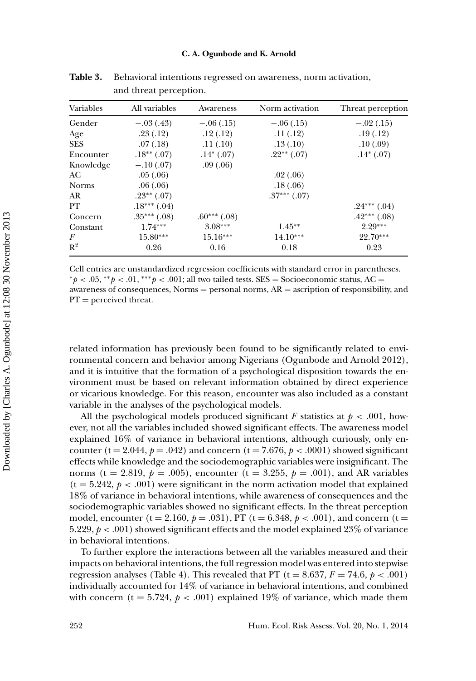| Variables      | All variables | Awareness     | Norm activation  | Threat perception |
|----------------|---------------|---------------|------------------|-------------------|
| Gender         | $-.03(.43)$   | $-.06(.15)$   | $-.06(.15)$      | $-.02(.15)$       |
| Age            | .23(.12)      | .12(.12)      | .11(.12)         | .19(.12)          |
| <b>SES</b>     | .07(0.18)     | .11(.10)      | .13(.10)         | .10(0.09)         |
| Encounter      | $.18***(.07)$ | $.14^*$ (.07) | $.22***$ (.07)   | $.14*(.07)$       |
| Knowledge      | $-.10(.07)$   | .09(0.06)     |                  |                   |
| AC             | .05(.06)      |               | .02(.06)         |                   |
| <b>Norms</b>   | .06(.06)      |               | .18(.06)         |                   |
| AR.            | $.23**$ (.07) |               | $.37***$ $(.07)$ |                   |
| PT             | $.18***(.04)$ |               |                  | $.24***$ (.04)    |
| Concern        | $.35***(.08)$ | $.60***(.08)$ |                  | $.42***$ $(.08)$  |
| Constant       | $1.74***$     | $3.08***$     | $1.45**$         | $2.29***$         |
| F              | $15.80***$    | $15.16***$    | $14.10***$       | $22.70***$        |
| $\mathbb{R}^2$ | 0.26          | 0.16          | 0.18             | 0.23              |

**Table 3.** Behavioral intentions regressed on awareness, norm activation, and threat perception.

Cell entries are unstandardized regression coefficients with standard error in parentheses.  $* p < .05, ** p < .01, ** p < .001$ ; all two tailed tests. SES = Socioeconomic status, AC = awareness of consequences, Norms  $=$  personal norms,  $AR =$  ascription of responsibility, and  $PT =$  perceived threat.

related information has previously been found to be significantly related to environmental concern and behavior among Nigerians (Ogunbode and Arnold 2012), and it is intuitive that the formation of a psychological disposition towards the environment must be based on relevant information obtained by direct experience or vicarious knowledge. For this reason, encounter was also included as a constant variable in the analyses of the psychological models.

All the psychological models produced significant  $F$  statistics at  $p < .001$ , however, not all the variables included showed significant effects. The awareness model explained 16% of variance in behavioral intentions, although curiously, only encounter (t = 2.044,  $p = .042$ ) and concern (t = 7.676,  $p < .0001$ ) showed significant effects while knowledge and the sociodemographic variables were insignificant. The norms ( $t = 2.819$ ,  $p = .005$ ), encounter ( $t = 3.255$ ,  $p = .001$ ), and AR variables  $(t = 5.242, p < .001)$  were significant in the norm activation model that explained 18% of variance in behavioral intentions, while awareness of consequences and the sociodemographic variables showed no significant effects. In the threat perception model, encounter (t = 2.160,  $p = .031$ ), PT (t = 6.348,  $p < .001$ ), and concern (t = 5.229,  $p < .001$ ) showed significant effects and the model explained 23% of variance in behavioral intentions.

To further explore the interactions between all the variables measured and their impacts on behavioral intentions, the full regression model was entered into stepwise regression analyses (Table 4). This revealed that PT ( $t = 8.637$ ,  $F = 74.6$ ,  $p < .001$ ) individually accounted for 14% of variance in behavioral intentions, and combined with concern ( $t = 5.724$ ,  $p < .001$ ) explained 19% of variance, which made them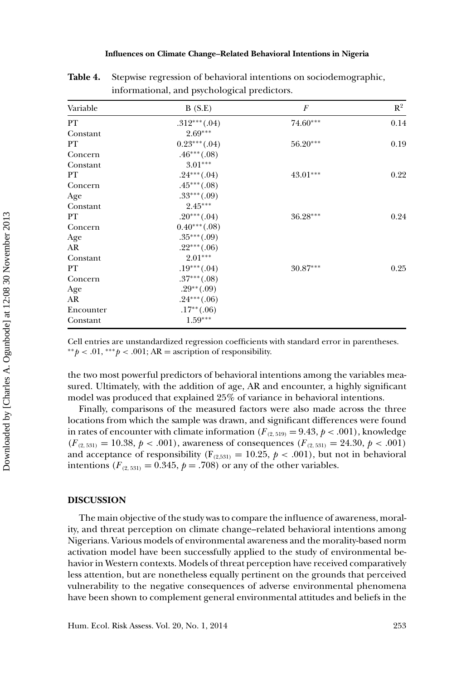| Variable  | B(S.E)          | $\boldsymbol{F}$ | $\mathbf{R}^2$ |  |
|-----------|-----------------|------------------|----------------|--|
| PT        | $.312***(.04)$  | 74.60***         | 0.14           |  |
| Constant  | $2.69***$       |                  |                |  |
| PT        | $0.23***$ (.04) | $56.20***$       | 0.19           |  |
| Concern   | $.46***(.08)$   |                  |                |  |
| Constant  | $3.01***$       |                  |                |  |
| PT        | $.24***(.04)$   | $43.01***$       | 0.22           |  |
| Concern   | $.45***(.08)$   |                  |                |  |
| Age       | $.33***(.09)$   |                  |                |  |
| Constant  | $2.45***$       |                  |                |  |
| PT        | $.20***(.04)$   | 36.28***         | 0.24           |  |
| Concern   | $0.40***$ (.08) |                  |                |  |
| Age       | $.35***(.09)$   |                  |                |  |
| AR        | $.22***(.06)$   |                  |                |  |
| Constant  | $2.01***$       |                  |                |  |
| PT        | $.19***(.04)$   | $30.87***$       | 0.25           |  |
| Concern   | $.37***(.08)$   |                  |                |  |
| Age       | $.29**(.09)$    |                  |                |  |
| AR        | $.24***(.06)$   |                  |                |  |
| Encounter | $.17**(.06)$    |                  |                |  |
| Constant  | $1.59***$       |                  |                |  |

**Table 4.** Stepwise regression of behavioral intentions on sociodemographic, informational, and psychological predictors.

Cell entries are unstandardized regression coefficients with standard error in parentheses. ∗∗*p* < .01, ∗∗∗*p* < .001; AR = ascription of responsibility.

the two most powerful predictors of behavioral intentions among the variables measured. Ultimately, with the addition of age, AR and encounter, a highly significant model was produced that explained 25% of variance in behavioral intentions.

Finally, comparisons of the measured factors were also made across the three locations from which the sample was drawn, and significant differences were found in rates of encounter with climate information ( $F_{(2,519)} = 9.43, p < .001$ ), knowledge  $(F_{(2, 531)} = 10.38, p < .001)$ , awareness of consequences  $(F_{(2, 531)} = 24.30, p < .001)$ and acceptance of responsibility ( $F_{(2,531)} = 10.25$ ,  $p < .001$ ), but not in behavioral intentions ( $F_{(2, 531)} = 0.345$ ,  $p = .708$ ) or any of the other variables.

# **DISCUSSION**

The main objective of the study was to compare the influence of awareness, morality, and threat perception on climate change–related behavioral intentions among Nigerians. Various models of environmental awareness and the morality-based norm activation model have been successfully applied to the study of environmental behavior in Western contexts. Models of threat perception have received comparatively less attention, but are nonetheless equally pertinent on the grounds that perceived vulnerability to the negative consequences of adverse environmental phenomena have been shown to complement general environmental attitudes and beliefs in the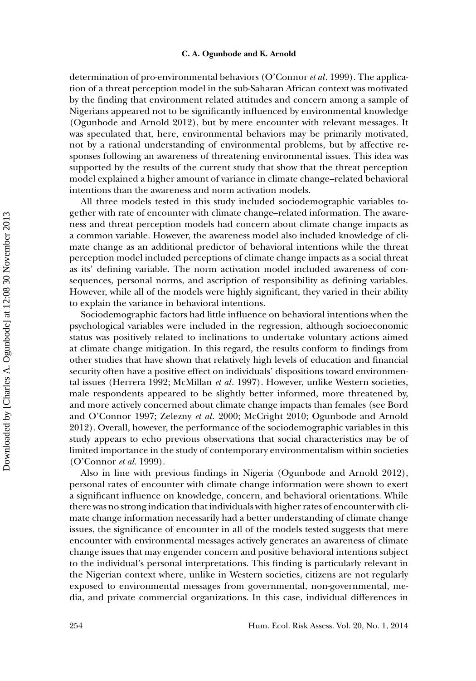determination of pro-environmental behaviors (O'Connor *et al*. 1999). The application of a threat perception model in the sub-Saharan African context was motivated by the finding that environment related attitudes and concern among a sample of Nigerians appeared not to be significantly influenced by environmental knowledge (Ogunbode and Arnold 2012), but by mere encounter with relevant messages. It was speculated that, here, environmental behaviors may be primarily motivated, not by a rational understanding of environmental problems, but by affective responses following an awareness of threatening environmental issues. This idea was supported by the results of the current study that show that the threat perception model explained a higher amount of variance in climate change–related behavioral intentions than the awareness and norm activation models.

All three models tested in this study included sociodemographic variables together with rate of encounter with climate change–related information. The awareness and threat perception models had concern about climate change impacts as a common variable. However, the awareness model also included knowledge of climate change as an additional predictor of behavioral intentions while the threat perception model included perceptions of climate change impacts as a social threat as its' defining variable. The norm activation model included awareness of consequences, personal norms, and ascription of responsibility as defining variables. However, while all of the models were highly significant, they varied in their ability to explain the variance in behavioral intentions.

Sociodemographic factors had little influence on behavioral intentions when the psychological variables were included in the regression, although socioeconomic status was positively related to inclinations to undertake voluntary actions aimed at climate change mitigation. In this regard, the results conform to findings from other studies that have shown that relatively high levels of education and financial security often have a positive effect on individuals' dispositions toward environmental issues (Herrera 1992; McMillan *et al*. 1997). However, unlike Western societies, male respondents appeared to be slightly better informed, more threatened by, and more actively concerned about climate change impacts than females (see Bord and O'Connor 1997; Zelezny *et al*. 2000; McCright 2010; Ogunbode and Arnold 2012). Overall, however, the performance of the sociodemographic variables in this study appears to echo previous observations that social characteristics may be of limited importance in the study of contemporary environmentalism within societies (O'Connor *et al.* 1999).

Also in line with previous findings in Nigeria (Ogunbode and Arnold 2012), personal rates of encounter with climate change information were shown to exert a significant influence on knowledge, concern, and behavioral orientations. While there was no strong indication that individuals with higher rates of encounter with climate change information necessarily had a better understanding of climate change issues, the significance of encounter in all of the models tested suggests that mere encounter with environmental messages actively generates an awareness of climate change issues that may engender concern and positive behavioral intentions subject to the individual's personal interpretations. This finding is particularly relevant in the Nigerian context where, unlike in Western societies, citizens are not regularly exposed to environmental messages from governmental, non-governmental, media, and private commercial organizations. In this case, individual differences in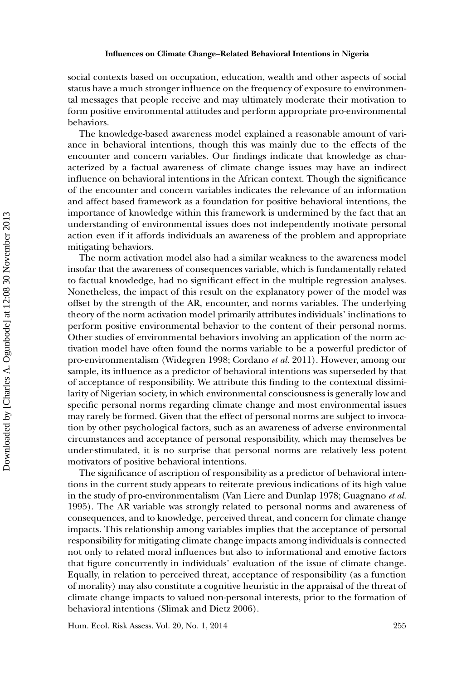social contexts based on occupation, education, wealth and other aspects of social status have a much stronger influence on the frequency of exposure to environmental messages that people receive and may ultimately moderate their motivation to form positive environmental attitudes and perform appropriate pro-environmental behaviors.

The knowledge-based awareness model explained a reasonable amount of variance in behavioral intentions, though this was mainly due to the effects of the encounter and concern variables. Our findings indicate that knowledge as characterized by a factual awareness of climate change issues may have an indirect influence on behavioral intentions in the African context. Though the significance of the encounter and concern variables indicates the relevance of an information and affect based framework as a foundation for positive behavioral intentions, the importance of knowledge within this framework is undermined by the fact that an understanding of environmental issues does not independently motivate personal action even if it affords individuals an awareness of the problem and appropriate mitigating behaviors.

The norm activation model also had a similar weakness to the awareness model insofar that the awareness of consequences variable, which is fundamentally related to factual knowledge, had no significant effect in the multiple regression analyses. Nonetheless, the impact of this result on the explanatory power of the model was offset by the strength of the AR, encounter, and norms variables. The underlying theory of the norm activation model primarily attributes individuals' inclinations to perform positive environmental behavior to the content of their personal norms. Other studies of environmental behaviors involving an application of the norm activation model have often found the norms variable to be a powerful predictor of pro-environmentalism (Widegren 1998; Cordano *et al.* 2011). However, among our sample, its influence as a predictor of behavioral intentions was superseded by that of acceptance of responsibility. We attribute this finding to the contextual dissimilarity of Nigerian society, in which environmental consciousness is generally low and specific personal norms regarding climate change and most environmental issues may rarely be formed. Given that the effect of personal norms are subject to invocation by other psychological factors, such as an awareness of adverse environmental circumstances and acceptance of personal responsibility, which may themselves be under-stimulated, it is no surprise that personal norms are relatively less potent motivators of positive behavioral intentions.

The significance of ascription of responsibility as a predictor of behavioral intentions in the current study appears to reiterate previous indications of its high value in the study of pro-environmentalism (Van Liere and Dunlap 1978; Guagnano *et al.* 1995). The AR variable was strongly related to personal norms and awareness of consequences, and to knowledge, perceived threat, and concern for climate change impacts. This relationship among variables implies that the acceptance of personal responsibility for mitigating climate change impacts among individuals is connected not only to related moral influences but also to informational and emotive factors that figure concurrently in individuals' evaluation of the issue of climate change. Equally, in relation to perceived threat, acceptance of responsibility (as a function of morality) may also constitute a cognitive heuristic in the appraisal of the threat of climate change impacts to valued non-personal interests, prior to the formation of behavioral intentions (Slimak and Dietz 2006).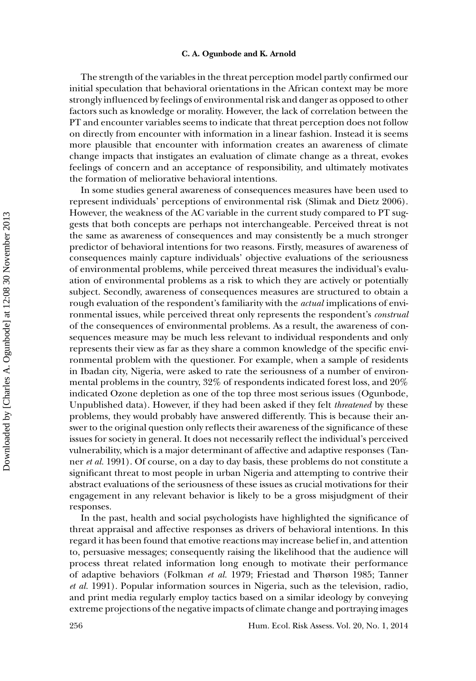The strength of the variables in the threat perception model partly confirmed our initial speculation that behavioral orientations in the African context may be more strongly influenced by feelings of environmental risk and danger as opposed to other factors such as knowledge or morality. However, the lack of correlation between the PT and encounter variables seems to indicate that threat perception does not follow on directly from encounter with information in a linear fashion. Instead it is seems more plausible that encounter with information creates an awareness of climate change impacts that instigates an evaluation of climate change as a threat, evokes feelings of concern and an acceptance of responsibility, and ultimately motivates the formation of meliorative behavioral intentions.

In some studies general awareness of consequences measures have been used to represent individuals' perceptions of environmental risk (Slimak and Dietz 2006). However, the weakness of the AC variable in the current study compared to PT suggests that both concepts are perhaps not interchangeable. Perceived threat is not the same as awareness of consequences and may consistently be a much stronger predictor of behavioral intentions for two reasons. Firstly, measures of awareness of consequences mainly capture individuals' objective evaluations of the seriousness of environmental problems, while perceived threat measures the individual's evaluation of environmental problems as a risk to which they are actively or potentially subject. Secondly, awareness of consequences measures are structured to obtain a rough evaluation of the respondent's familiarity with the *actual* implications of environmental issues, while perceived threat only represents the respondent's *construal* of the consequences of environmental problems. As a result, the awareness of consequences measure may be much less relevant to individual respondents and only represents their view as far as they share a common knowledge of the specific environmental problem with the questioner. For example, when a sample of residents in Ibadan city, Nigeria, were asked to rate the seriousness of a number of environmental problems in the country, 32% of respondents indicated forest loss, and 20% indicated Ozone depletion as one of the top three most serious issues (Ogunbode, Unpublished data). However, if they had been asked if they felt *threatened* by these problems, they would probably have answered differently. This is because their answer to the original question only reflects their awareness of the significance of these issues for society in general. It does not necessarily reflect the individual's perceived vulnerability, which is a major determinant of affective and adaptive responses (Tanner *et al.* 1991). Of course, on a day to day basis, these problems do not constitute a significant threat to most people in urban Nigeria and attempting to contrive their abstract evaluations of the seriousness of these issues as crucial motivations for their engagement in any relevant behavior is likely to be a gross misjudgment of their responses.

In the past, health and social psychologists have highlighted the significance of threat appraisal and affective responses as drivers of behavioral intentions. In this regard it has been found that emotive reactions may increase belief in, and attention to, persuasive messages; consequently raising the likelihood that the audience will process threat related information long enough to motivate their performance of adaptive behaviors (Folkman *et al.* 1979; Friestad and Thørson 1985; Tanner *et al.* 1991). Popular information sources in Nigeria, such as the television, radio, and print media regularly employ tactics based on a similar ideology by conveying extreme projections of the negative impacts of climate change and portraying images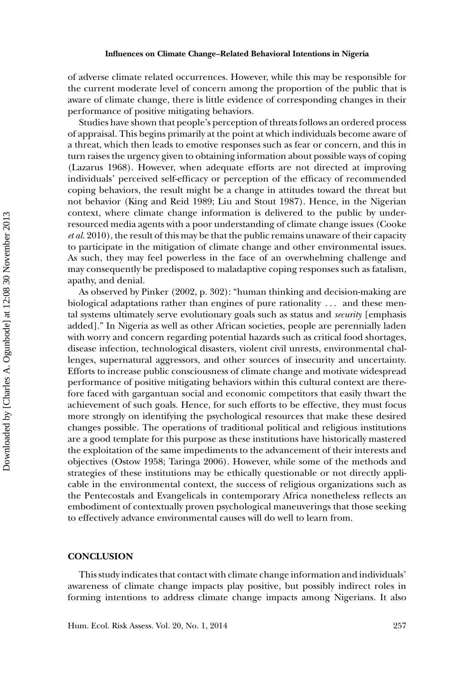of adverse climate related occurrences. However, while this may be responsible for the current moderate level of concern among the proportion of the public that is aware of climate change, there is little evidence of corresponding changes in their performance of positive mitigating behaviors.

Studies have shown that people's perception of threats follows an ordered process of appraisal. This begins primarily at the point at which individuals become aware of a threat, which then leads to emotive responses such as fear or concern, and this in turn raises the urgency given to obtaining information about possible ways of coping (Lazarus 1968). However, when adequate efforts are not directed at improving individuals' perceived self-efficacy or perception of the efficacy of recommended coping behaviors, the result might be a change in attitudes toward the threat but not behavior (King and Reid 1989; Liu and Stout 1987). Hence, in the Nigerian context, where climate change information is delivered to the public by underresourced media agents with a poor understanding of climate change issues (Cooke *et al.* 2010), the result of this may be that the public remains unaware of their capacity to participate in the mitigation of climate change and other environmental issues. As such, they may feel powerless in the face of an overwhelming challenge and may consequently be predisposed to maladaptive coping responses such as fatalism, apathy, and denial.

As observed by Pinker (2002, p. 302): "human thinking and decision-making are biological adaptations rather than engines of pure rationality . . . and these mental systems ultimately serve evolutionary goals such as status and *security* [emphasis added]." In Nigeria as well as other African societies, people are perennially laden with worry and concern regarding potential hazards such as critical food shortages, disease infection, technological disasters, violent civil unrests, environmental challenges, supernatural aggressors, and other sources of insecurity and uncertainty. Efforts to increase public consciousness of climate change and motivate widespread performance of positive mitigating behaviors within this cultural context are therefore faced with gargantuan social and economic competitors that easily thwart the achievement of such goals. Hence, for such efforts to be effective, they must focus more strongly on identifying the psychological resources that make these desired changes possible. The operations of traditional political and religious institutions are a good template for this purpose as these institutions have historically mastered the exploitation of the same impediments to the advancement of their interests and objectives (Ostow 1958; Taringa 2006). However, while some of the methods and strategies of these institutions may be ethically questionable or not directly applicable in the environmental context, the success of religious organizations such as the Pentecostals and Evangelicals in contemporary Africa nonetheless reflects an embodiment of contextually proven psychological maneuverings that those seeking to effectively advance environmental causes will do well to learn from.

#### **CONCLUSION**

This study indicates that contact with climate change information and individuals' awareness of climate change impacts play positive, but possibly indirect roles in forming intentions to address climate change impacts among Nigerians. It also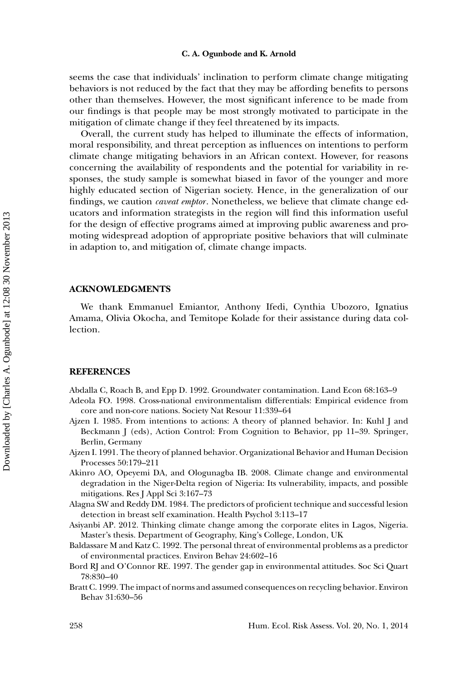seems the case that individuals' inclination to perform climate change mitigating behaviors is not reduced by the fact that they may be affording benefits to persons other than themselves. However, the most significant inference to be made from our findings is that people may be most strongly motivated to participate in the mitigation of climate change if they feel threatened by its impacts.

Overall, the current study has helped to illuminate the effects of information, moral responsibility, and threat perception as influences on intentions to perform climate change mitigating behaviors in an African context. However, for reasons concerning the availability of respondents and the potential for variability in responses, the study sample is somewhat biased in favor of the younger and more highly educated section of Nigerian society. Hence, in the generalization of our findings, we caution *caveat emptor*. Nonetheless, we believe that climate change educators and information strategists in the region will find this information useful for the design of effective programs aimed at improving public awareness and promoting widespread adoption of appropriate positive behaviors that will culminate in adaption to, and mitigation of, climate change impacts.

# **ACKNOWLEDGMENTS**

We thank Emmanuel Emiantor, Anthony Ifedi, Cynthia Ubozoro, Ignatius Amama, Olivia Okocha, and Temitope Kolade for their assistance during data collection.

# **REFERENCES**

Abdalla C, Roach B, and Epp D. 1992. Groundwater contamination. Land Econ 68:163–9

- Adeola FO. 1998. Cross-national environmentalism differentials: Empirical evidence from core and non-core nations. Society Nat Resour 11:339–64
- Ajzen I. 1985. From intentions to actions: A theory of planned behavior. In: Kuhl J and Beckmann J (eds), Action Control: From Cognition to Behavior, pp 11–39. Springer, Berlin, Germany
- Ajzen I. 1991. The theory of planned behavior. Organizational Behavior and Human Decision Processes 50:179–211
- Akinro AO, Opeyemi DA, and Ologunagba IB. 2008. Climate change and environmental degradation in the Niger-Delta region of Nigeria: Its vulnerability, impacts, and possible mitigations. Res J Appl Sci 3:167–73
- Alagna SW and Reddy DM. 1984. The predictors of proficient technique and successful lesion detection in breast self examination. Health Psychol 3:113–17
- Asiyanbi AP. 2012. Thinking climate change among the corporate elites in Lagos, Nigeria. Master's thesis. Department of Geography, King's College, London, UK
- Baldassare M and Katz C. 1992. The personal threat of environmental problems as a predictor of environmental practices. Environ Behav 24:602–16
- Bord RJ and O'Connor RE. 1997. The gender gap in environmental attitudes. Soc Sci Quart 78:830–40
- Bratt C. 1999. The impact of norms and assumed consequences on recycling behavior. Environ Behav 31:630–56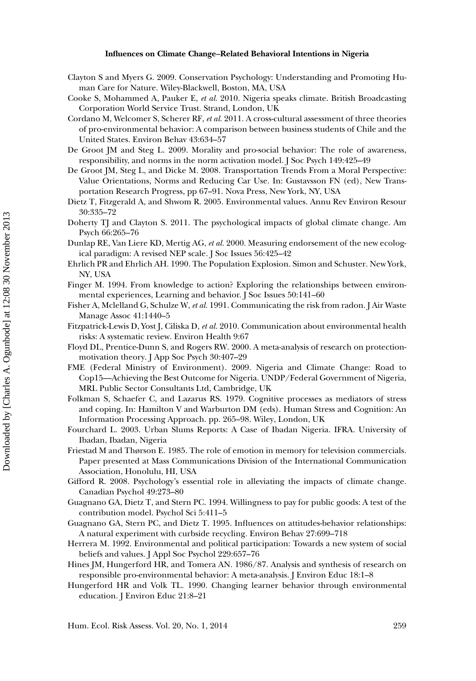- Clayton S and Myers G. 2009. Conservation Psychology: Understanding and Promoting Human Care for Nature. Wiley-Blackwell, Boston, MA, USA
- Cooke S, Mohammed A, Pauker E, *et al.* 2010. Nigeria speaks climate. British Broadcasting Corporation World Service Trust. Strand, London, UK
- Cordano M, Welcomer S, Scherer RF, *et al.* 2011. A cross-cultural assessment of three theories of pro-environmental behavior: A comparison between business students of Chile and the United States. Environ Behav 43:634–57
- De Groot JM and Steg L. 2009. Morality and pro-social behavior: The role of awareness, responsibility, and norms in the norm activation model. J Soc Psych 149:425–49
- De Groot JM, Steg L, and Dicke M. 2008. Transportation Trends From a Moral Perspective: Value Orientations, Norms and Reducing Car Use. In: Gustavsson FN (ed), New Transportation Research Progress, pp 67–91. Nova Press, New York, NY, USA
- Dietz T, Fitzgerald A, and Shwom R. 2005. Environmental values. Annu Rev Environ Resour 30:335–72
- Doherty TJ and Clayton S. 2011. The psychological impacts of global climate change. Am Psych 66:265–76
- Dunlap RE, Van Liere KD, Mertig AG, *et al.* 2000. Measuring endorsement of the new ecological paradigm: A revised NEP scale. J Soc Issues 56:425–42
- Ehrlich PR and Ehrlich AH. 1990. The Population Explosion. Simon and Schuster. New York, NY, USA
- Finger M. 1994. From knowledge to action? Exploring the relationships between environmental experiences, Learning and behavior. J Soc Issues 50:141–60
- Fisher A, Mclelland G, Schulze W, *et al.* 1991. Communicating the risk from radon. J Air Waste Manage Assoc 41:1440–5
- Fitzpatrick-Lewis D, Yost J, Ciliska D, *et al.* 2010. Communication about environmental health risks: A systematic review. Environ Health 9:67
- Floyd DL, Prentice-Dunn S, and Rogers RW. 2000. A meta-analysis of research on protectionmotivation theory. J App Soc Psych 30:407–29
- FME (Federal Ministry of Environment). 2009. Nigeria and Climate Change: Road to Cop15—Achieving the Best Outcome for Nigeria. UNDP/Federal Government of Nigeria, MRL Public Sector Consultants Ltd, Cambridge, UK
- Folkman S, Schaefer C, and Lazarus RS. 1979. Cognitive processes as mediators of stress and coping. In: Hamilton V and Warburton DM (eds). Human Stress and Cognition: An Information Processing Approach. pp. 265–98. Wiley, London, UK
- Fourchard L. 2003. Urban Slums Reports: A Case of Ibadan Nigeria. IFRA. University of Ibadan, Ibadan, Nigeria
- Friestad M and Thørson E. 1985. The role of emotion in memory for television commercials. Paper presented at Mass Communications Division of the International Communication Association, Honolulu, HI, USA
- Gifford R. 2008. Psychology's essential role in alleviating the impacts of climate change. Canadian Psychol 49:273–80
- Guagnano GA, Dietz T, and Stern PC. 1994. Willingness to pay for public goods: A test of the contribution model. Psychol Sci 5:411–5
- Guagnano GA, Stern PC, and Dietz T. 1995. Influences on attitudes-behavior relationships: A natural experiment with curbside recycling. Environ Behav 27:699–718
- Herrera M. 1992. Environmental and political participation: Towards a new system of social beliefs and values. J Appl Soc Psychol 229:657–76
- Hines JM, Hungerford HR, and Tomera AN. 1986/87. Analysis and synthesis of research on responsible pro-environmental behavior: A meta-analysis. J Environ Educ 18:1–8
- Hungerford HR and Volk TL. 1990. Changing learner behavior through environmental education. J Environ Educ 21:8–21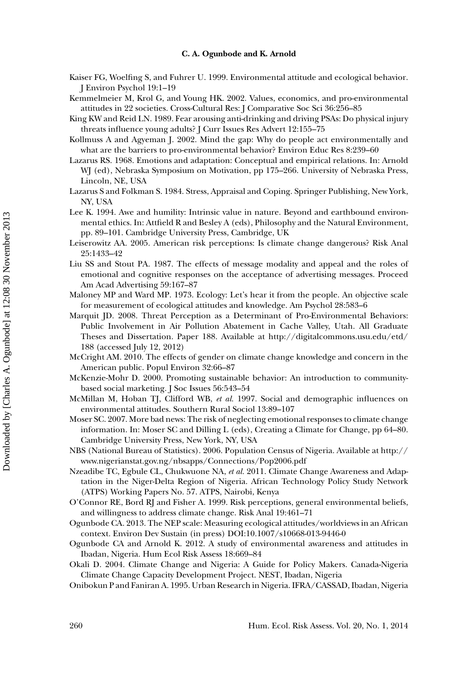- Kaiser FG, Woelfing S, and Fuhrer U. 1999. Environmental attitude and ecological behavior. J Environ Psychol 19:1–19
- Kemmelmeier M, Krol G, and Young HK. 2002. Values, economics, and pro-environmental attitudes in 22 societies. Cross-Cultural Res: J Comparative Soc Sci 36:256–85
- King KW and Reid LN. 1989. Fear arousing anti-drinking and driving PSAs: Do physical injury threats influence young adults? J Curr Issues Res Advert 12:155–75
- Kollmuss A and Agyeman J. 2002. Mind the gap: Why do people act environmentally and what are the barriers to pro-environmental behavior? Environ Educ Res 8:239–60
- Lazarus RS. 1968. Emotions and adaptation: Conceptual and empirical relations. In: Arnold WJ (ed), Nebraska Symposium on Motivation, pp 175–266. University of Nebraska Press, Lincoln, NE, USA
- Lazarus S and Folkman S. 1984. Stress, Appraisal and Coping. Springer Publishing, New York, NY, USA
- Lee K. 1994. Awe and humility: Intrinsic value in nature. Beyond and earthbound environmental ethics. In: Attfield R and Besley A (eds), Philosophy and the Natural Environment, pp. 89–101. Cambridge University Press, Cambridge, UK
- Leiserowitz AA. 2005. American risk perceptions: Is climate change dangerous? Risk Anal 25:1433–42
- Liu SS and Stout PA. 1987. The effects of message modality and appeal and the roles of emotional and cognitive responses on the acceptance of advertising messages. Proceed Am Acad Advertising 59:167–87
- Maloney MP and Ward MP. 1973. Ecology: Let's hear it from the people. An objective scale for measurement of ecological attitudes and knowledge. Am Psychol 28:583–6
- Marquit JD. 2008. Threat Perception as a Determinant of Pro-Environmental Behaviors: Public Involvement in Air Pollution Abatement in Cache Valley, Utah. All Graduate Theses and Dissertation. Paper 188. Available at http://digitalcommons.usu.edu/etd/ 188 (accessed July 12, 2012)
- McCright AM. 2010. The effects of gender on climate change knowledge and concern in the American public. Popul Environ 32:66–87
- McKenzie-Mohr D. 2000. Promoting sustainable behavior: An introduction to communitybased social marketing. J Soc Issues 56:543–54
- McMillan M, Hoban TJ, Clifford WB, *et al.* 1997. Social and demographic influences on environmental attitudes. Southern Rural Sociol 13:89–107
- Moser SC. 2007. More bad news: The risk of neglecting emotional responses to climate change information. In: Moser SC and Dilling L (eds), Creating a Climate for Change, pp 64–80. Cambridge University Press, New York, NY, USA
- NBS (National Bureau of Statistics). 2006. Population Census of Nigeria. Available at http:// www.nigerianstat.gov.ng/nbsapps/Connections/Pop2006.pdf
- Nzeadibe TC, Egbule CL, Chukwuone NA, *et al.* 2011. Climate Change Awareness and Adaptation in the Niger-Delta Region of Nigeria. African Technology Policy Study Network (ATPS) Working Papers No. 57. ATPS, Nairobi, Kenya
- O'Connor RE, Bord RJ and Fisher A. 1999. Risk perceptions, general environmental beliefs, and willingness to address climate change. Risk Anal 19:461–71
- Ogunbode CA. 2013. The NEP scale: Measuring ecological attitudes/worldviews in an African context. Environ Dev Sustain (in press) DOI:10.1007/s10668-013-9446-0
- Ogunbode CA and Arnold K. 2012. A study of environmental awareness and attitudes in Ibadan, Nigeria. Hum Ecol Risk Assess 18:669–84
- Okali D. 2004. Climate Change and Nigeria: A Guide for Policy Makers. Canada-Nigeria Climate Change Capacity Development Project. NEST, Ibadan, Nigeria
- Onibokun P and Faniran A. 1995. Urban Research in Nigeria. IFRA/CASSAD, Ibadan, Nigeria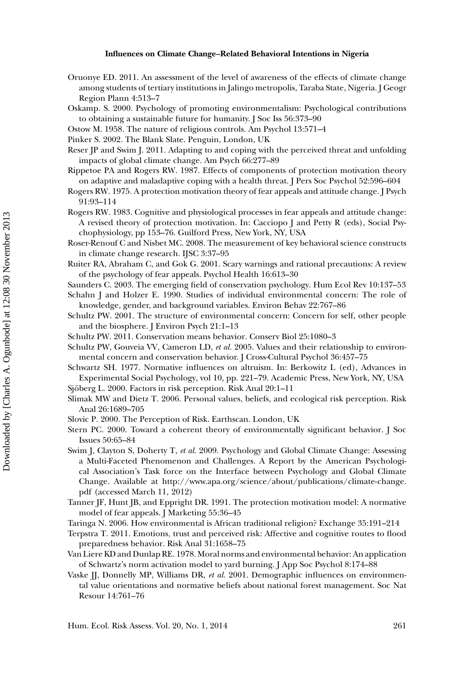- Oruonye ED. 2011. An assessment of the level of awareness of the effects of climate change among students of tertiary institutions in Jalingo metropolis, Taraba State, Nigeria. J Geogr Region Plann 4:513–7
- Oskamp. S. 2000. Psychology of promoting environmentalism: Psychological contributions to obtaining a sustainable future for humanity. J Soc Iss 56:373–90
- Ostow M. 1958. The nature of religious controls. Am Psychol 13:571–4
- Pinker S. 2002. The Blank Slate. Penguin, London, UK
- Reser JP and Swim J. 2011. Adapting to and coping with the perceived threat and unfolding impacts of global climate change. Am Psych 66:277–89
- Rippetoe PA and Rogers RW. 1987. Effects of components of protection motivation theory on adaptive and maladaptive coping with a health threat. J Pers Soc Psychol 52:596–604
- Rogers RW. 1975. A protection motivation theory of fear appeals and attitude change. J Psych 91:93–114
- Rogers RW. 1983. Cognitive and physiological processes in fear appeals and attitude change: A revised theory of protection motivation. In: Cacciopo J and Petty R (eds), Social Psychophysiology, pp 153–76. Guilford Press, New York, NY, USA
- Roser-Renouf C and Nisbet MC. 2008. The measurement of key behavioral science constructs in climate change research. IJSC 3:37–95
- Ruiter RA, Abraham C, and Gok G. 2001. Scary warnings and rational precautions: A review of the psychology of fear appeals. Psychol Health 16:613–30
- Saunders C. 2003. The emerging field of conservation psychology. Hum Ecol Rev 10:137–53
- Schahn J and Holzer E. 1990. Studies of individual environmental concern: The role of knowledge, gender, and background variables. Environ Behav 22:767–86
- Schultz PW. 2001. The structure of environmental concern: Concern for self, other people and the biosphere. J Environ Psych 21:1–13
- Schultz PW. 2011. Conservation means behavior. Conserv Biol 25:1080–3
- Schultz PW, Gouveia VV, Cameron LD, *et al.* 2005. Values and their relationship to environmental concern and conservation behavior. J Cross-Cultural Psychol 36:457–75
- Schwartz SH. 1977. Normative influences on altruism. In: Berkowitz L (ed), Advances in Experimental Social Psychology, vol 10, pp. 221–79. Academic Press, New York, NY, USA
- Sjöberg L. 2000. Factors in risk perception. Risk Anal 20:1–11
- Slimak MW and Dietz T. 2006. Personal values, beliefs, and ecological risk perception. Risk Anal 26:1689–705
- Slovic P. 2000. The Perception of Risk. Earthscan. London, UK
- Stern PC. 2000. Toward a coherent theory of environmentally significant behavior. J Soc Issues 50:65–84
- Swim J, Clayton S, Doherty T, *et al.* 2009. Psychology and Global Climate Change: Assessing a Multi-Faceted Phenomenon and Challenges. A Report by the American Psychological Association's Task force on the Interface between Psychology and Global Climate Change. Available at http://www.apa.org/science/about/publications/climate-change. pdf (accessed March 11, 2012)
- Tanner JF, Hunt JB, and Eppright DR. 1991. The protection motivation model: A normative model of fear appeals. J Marketing 55:36–45
- Taringa N. 2006. How environmental is African traditional religion? Exchange 35:191–214
- Terpstra T. 2011. Emotions, trust and perceived risk: Affective and cognitive routes to flood preparedness behavior. Risk Anal 31:1658–75
- Van Liere KD and Dunlap RE. 1978. Moral norms and environmental behavior: An application of Schwartz's norm activation model to yard burning. J App Soc Psychol 8:174–88
- Vaske JJ, Donnelly MP, Williams DR, *et al.* 2001. Demographic influences on environmental value orientations and normative beliefs about national forest management. Soc Nat Resour 14:761–76